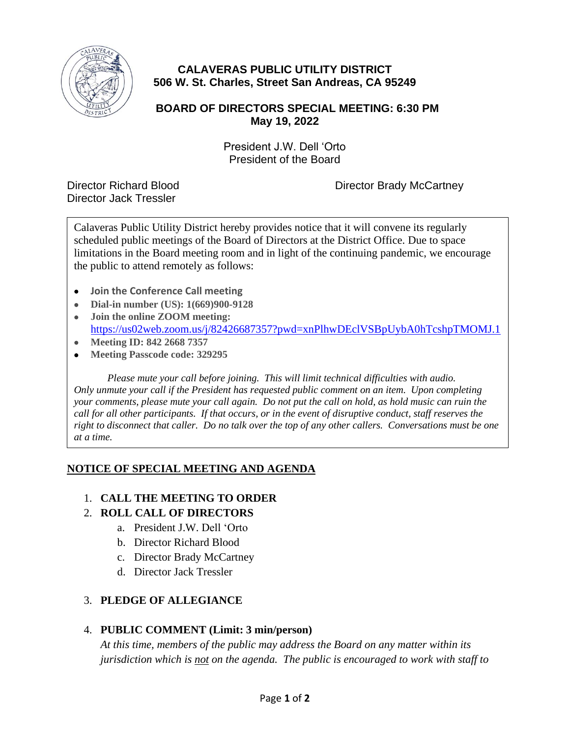

# **CALAVERAS PUBLIC UTILITY DISTRICT 506 W. St. Charles, Street San Andreas, CA 95249**

## **BOARD OF DIRECTORS SPECIAL MEETING: 6:30 PM May 19, 2022**

President J.W. Dell 'Orto President of the Board

Director Jack Tressler

Director Richard Blood Director Brady McCartney

Calaveras Public Utility District hereby provides notice that it will convene its regularly scheduled public meetings of the Board of Directors at the District Office. Due to space limitations in the Board meeting room and in light of the continuing pandemic, we encourage the public to attend remotely as follows:

- **Join the Conference Call meeting**
- **Dial-in number (US): 1(669)900-9128**
- **Join the online ZOOM meeting:** <https://us02web.zoom.us/j/82426687357?pwd=xnPlhwDEclVSBpUybA0hTcshpTMOMJ.1>
- **Meeting ID: 842 2668 7357**
- **Meeting Passcode code: 329295**

*Please mute your call before joining. This will limit technical difficulties with audio. Only unmute your call if the President has requested public comment on an item. Upon completing your comments, please mute your call again. Do not put the call on hold, as hold music can ruin the call for all other participants. If that occurs, or in the event of disruptive conduct, staff reserves the right to disconnect that caller. Do no talk over the top of any other callers. Conversations must be one at a time.*

## **NOTICE OF SPECIAL MEETING AND AGENDA**

## 1. **CALL THE MEETING TO ORDER**

## 2. **ROLL CALL OF DIRECTORS**

- a. President J.W. Dell 'Orto
- b. Director Richard Blood
- c. Director Brady McCartney
- d. Director Jack Tressler

## 3. **PLEDGE OF ALLEGIANCE**

## 4. **PUBLIC COMMENT (Limit: 3 min/person)**

*At this time, members of the public may address the Board on any matter within its jurisdiction which is not on the agenda. The public is encouraged to work with staff to*